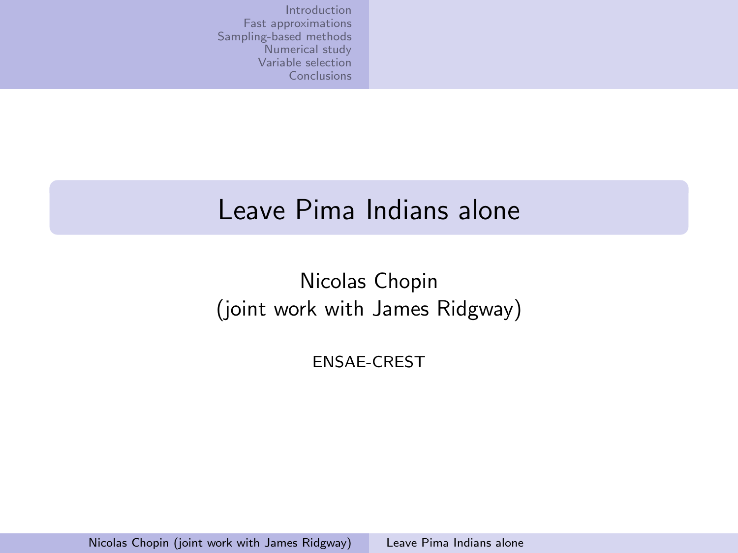#### Leave Pima Indians alone

#### Nicolas Chopin (joint work with James Ridgway)

<span id="page-0-0"></span>ENSAE-CREST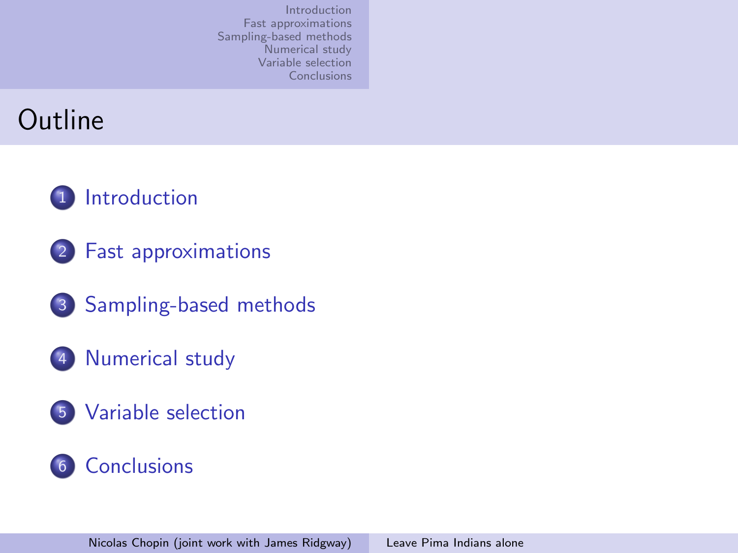### Outline





- 3 [Sampling-based methods](#page-15-0)
- 4 [Numerical study](#page-28-0)
- 5 [Variable selection](#page-44-0)

#### 6 [Conclusions](#page-47-0)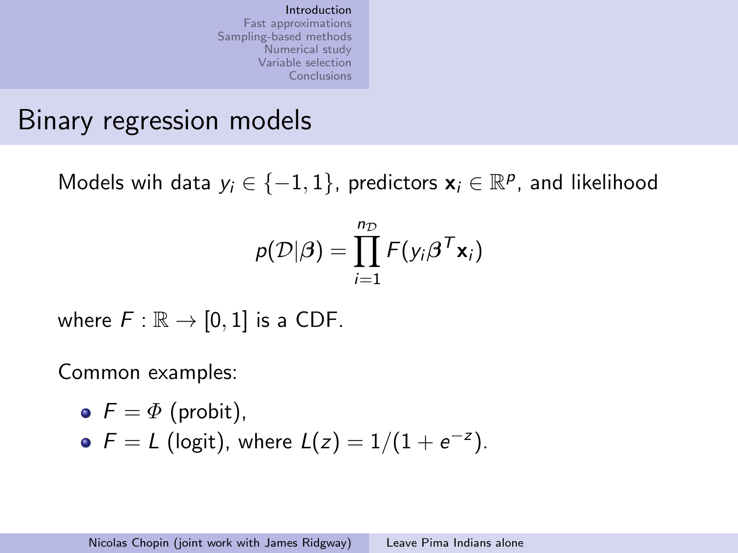### Binary regression models

Models wih data  $y_i \in \{-1, 1\}$ , predictors  $\mathbf{x}_i \in \mathbb{R}^p$ , and likelihood

<span id="page-2-0"></span>
$$
p(\mathcal{D}|\boldsymbol{\beta}) = \prod_{i=1}^{n_{\mathcal{D}}} F(y_i \boldsymbol{\beta}^T \mathbf{x}_i)
$$

where  $F : \mathbb{R} \to [0,1]$  is a CDF.

Common examples:

\n- $$
F = \Phi
$$
 (probit),
\n- $F = L$  (logit), where  $L(z) = 1/(1 + e^{-z})$ .
\n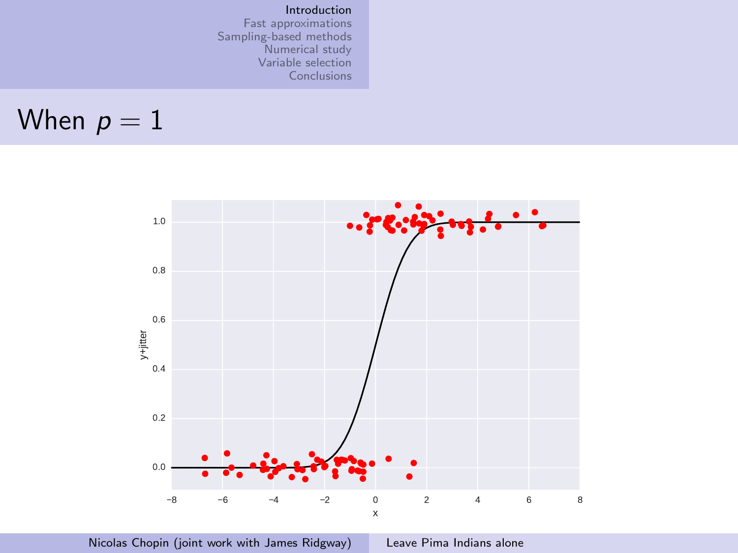#### [Introduction](#page-2-0)

[Fast approximations](#page-10-0) [Sampling-based methods](#page-15-0) [Numerical study](#page-28-0) [Variable selection](#page-44-0) [Conclusions](#page-47-0)

When 
$$
p = 1
$$

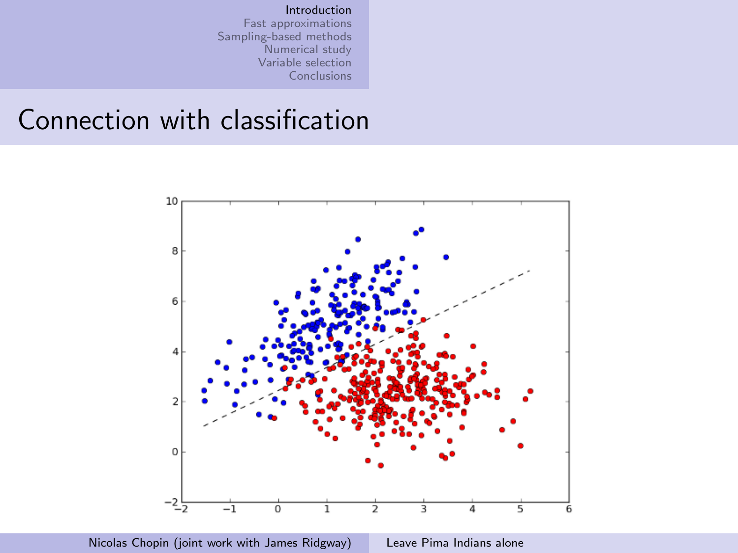#### Connection with classification



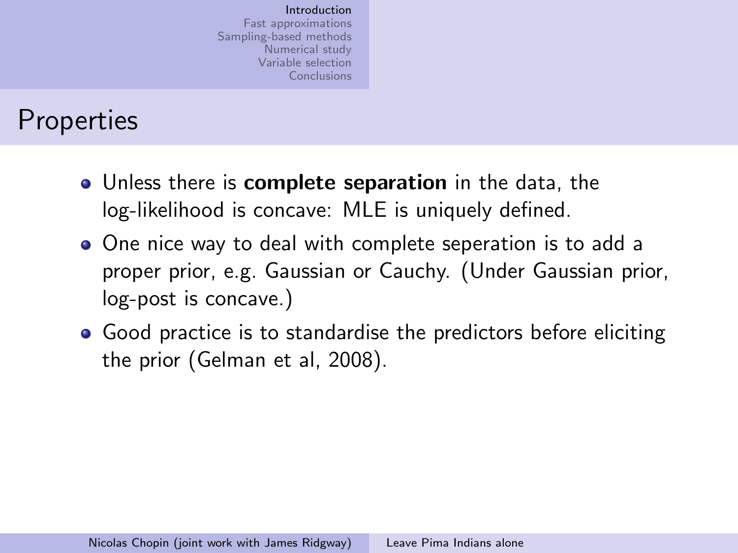### **Properties**

- Unless there is complete separation in the data, the log-likelihood is concave: MLE is uniquely defined.
- One nice way to deal with complete seperation is to add a proper prior, e.g. Gaussian or Cauchy. (Under Gaussian prior, log-post is concave.)
- Good practice is to standardise the predictors before eliciting the prior (Gelman et al, 2008).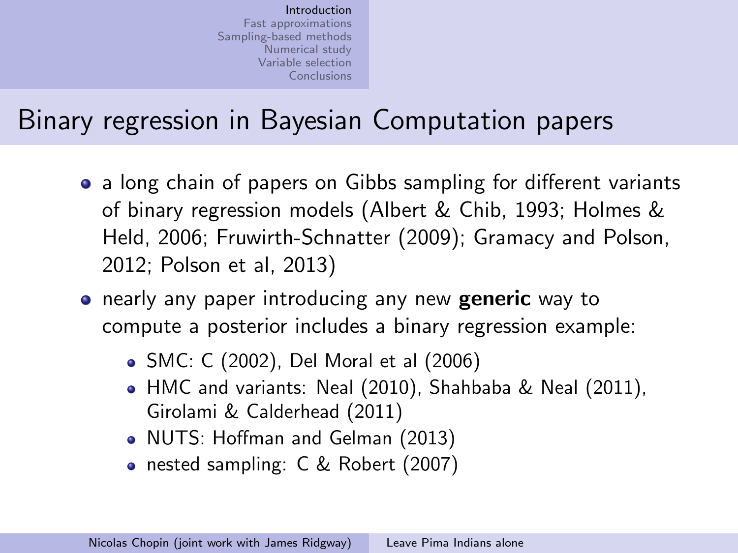# Binary regression in Bayesian Computation papers

- a long chain of papers on Gibbs sampling for different variants of binary regression models (Albert & Chib, 1993; Holmes & Held, 2006; Fruwirth-Schnatter (2009); Gramacy and Polson, 2012; Polson et al, 2013)
- **•** nearly any paper introducing any new **generic** way to compute a posterior includes a binary regression example:
	- SMC: C (2002), Del Moral et al (2006)
	- HMC and variants: Neal (2010), Shahbaba & Neal (2011), Girolami & Calderhead (2011)
	- NUTS: Hoffman and Gelman (2013)
	- nested sampling: C & Robert (2007)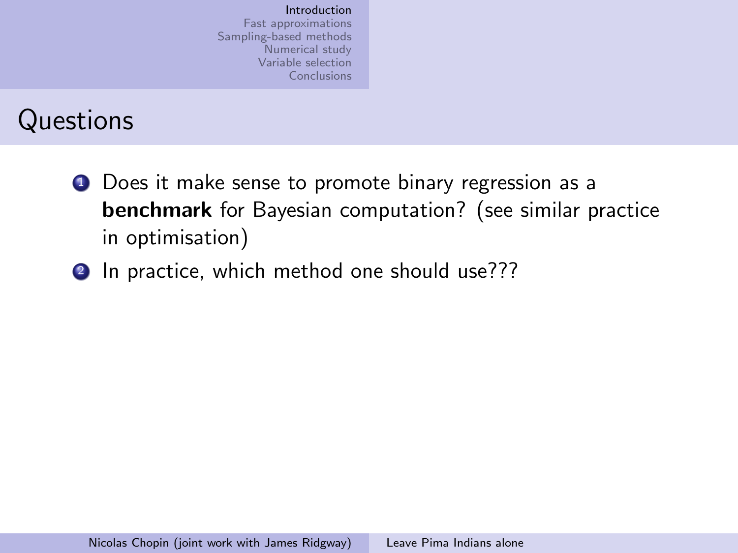### **Questions**

- **1** Does it make sense to promote binary regression as a benchmark for Bayesian computation? (see similar practice in optimisation)
- 2 In practice, which method one should use???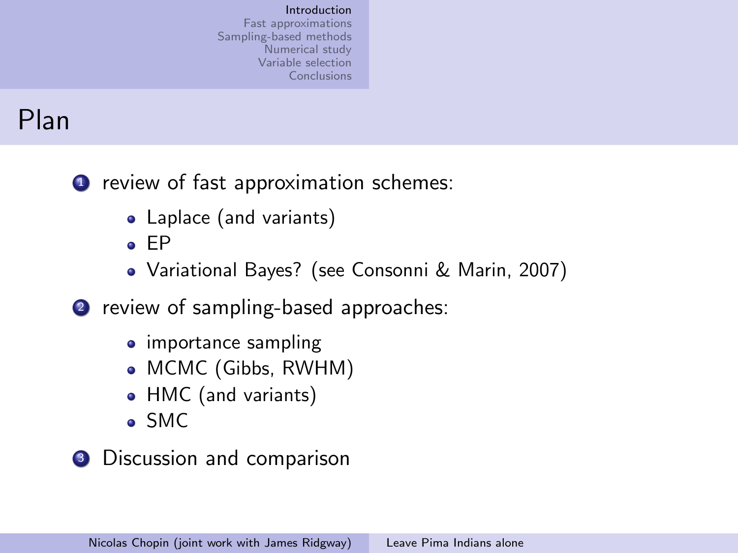# Plan

**1** review of fast approximation schemes:

- Laplace (and variants)
- $E$
- Variational Bayes? (see Consonni & Marin, 2007)
- 2 review of sampling-based approaches:
	- importance sampling
	- MCMC (Gibbs, RWHM)
	- HMC (and variants)
	- SMC
- <sup>3</sup> Discussion and comparison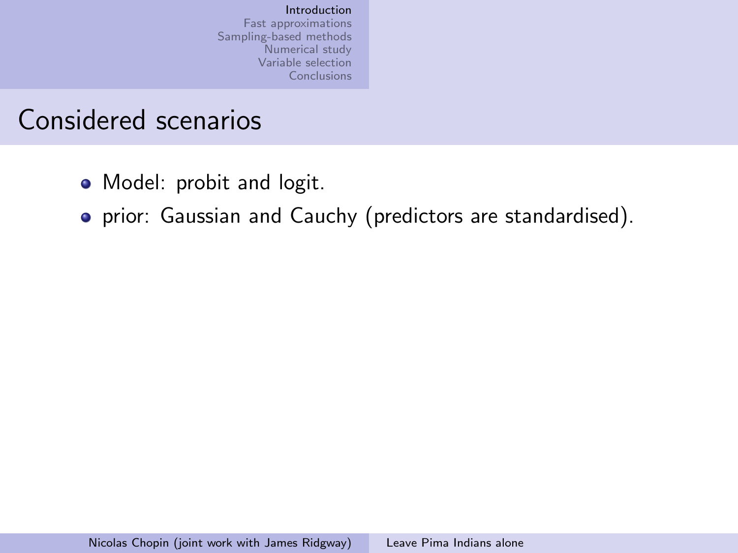### Considered scenarios

- Model: probit and logit.
- prior: Gaussian and Cauchy (predictors are standardised).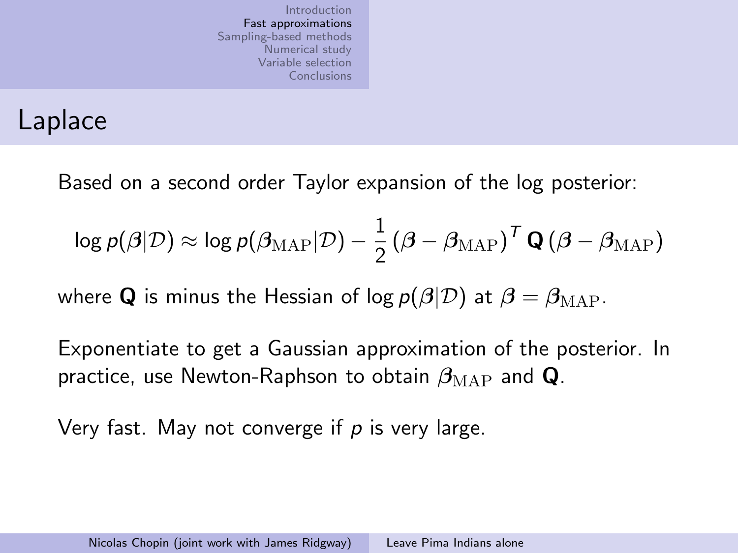### Laplace

Based on a second order Taylor expansion of the log posterior:

$$
\log p(\boldsymbol{\beta}|\mathcal{D}) \approx \log p(\boldsymbol{\beta}_{\text{MAP}}|\mathcal{D}) - \frac{1}{2}\left(\boldsymbol{\beta}-\boldsymbol{\beta}_{\text{MAP}}\right)^T\mathbf{Q}\left(\boldsymbol{\beta}-\boldsymbol{\beta}_{\text{MAP}}\right)
$$

where Q is minus the Hessian of log  $p(\beta|\mathcal{D})$  at  $\beta = \beta_{MAP}$ .

Exponentiate to get a Gaussian approximation of the posterior. In practice, use Newton-Raphson to obtain  $\beta_{\text{MAP}}$  and Q.

<span id="page-10-0"></span>Very fast. May not converge if  $p$  is very large.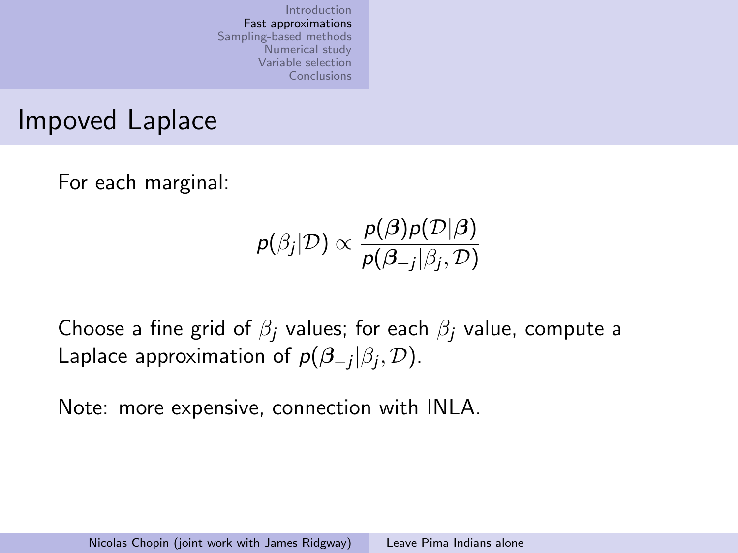Impoved Laplace

For each marginal:

$$
p(\beta_j | \mathcal{D}) \propto \frac{p(\boldsymbol{\beta})p(\mathcal{D} | \boldsymbol{\beta})}{p(\boldsymbol{\beta}_{-j} | \beta_j, \mathcal{D})}
$$

Choose a fine grid of  $\beta_i$  values; for each  $\beta_i$  value, compute a Laplace approximation of  $p(\beta_{-j}|\beta_j,\mathcal{D}).$ 

Note: more expensive, connection with INLA.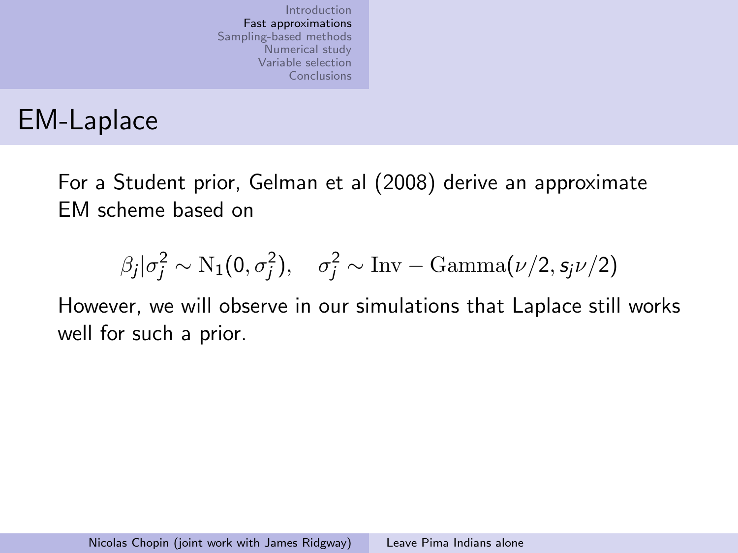# EM-Laplace

For a Student prior, Gelman et al (2008) derive an approximate EM scheme based on

$$
\beta_j|\sigma_j^2 \sim \mathrm{N}_1(0,\sigma_j^2), \quad \sigma_j^2 \sim \mathrm{Inv-Gamma}(\nu/2, s_j \nu/2)
$$

However, we will observe in our simulations that Laplace still works well for such a prior.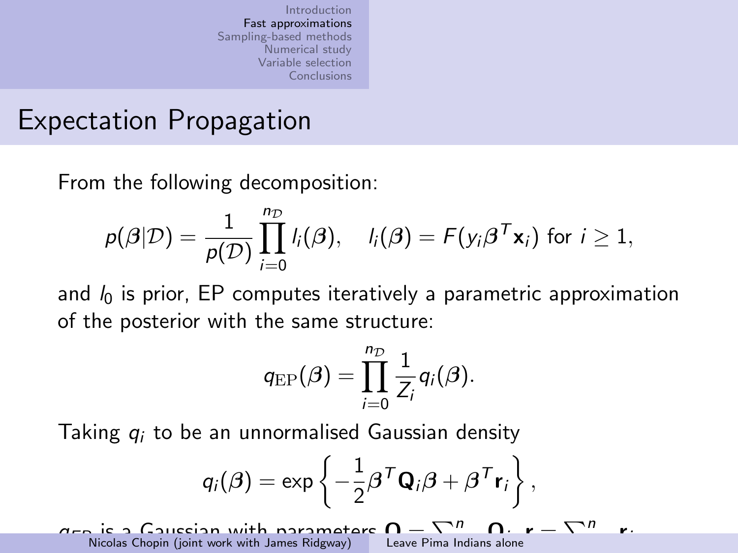### Expectation Propagation

From the following decomposition:

$$
p(\boldsymbol{\beta}|\mathcal{D}) = \frac{1}{p(\mathcal{D})} \prod_{i=0}^{n_{\mathcal{D}}} l_i(\boldsymbol{\beta}), \quad l_i(\boldsymbol{\beta}) = F(y_i \boldsymbol{\beta}^T \mathbf{x}_i) \text{ for } i \geq 1,
$$

and  $l_0$  is prior, EP computes iteratively a parametric approximation of the posterior with the same structure:

$$
q_{\text{EP}}(\boldsymbol{\beta}) = \prod_{i=0}^{n_{\mathcal{D}}} \frac{1}{Z_i} q_i(\boldsymbol{\beta}).
$$

Taking  $q_i$  to be an unnormalised Gaussian density

$$
q_i(\boldsymbol{\beta}) = \exp\left\{-\frac{1}{2}\boldsymbol{\beta}^T\mathbf{Q}_i\boldsymbol{\beta} + \boldsymbol{\beta}^T\mathbf{r}_i\right\},\,
$$

 $q_{\text{en}}$  is a Gaussian with parameters  $\Omega$  =  $\Box$ n Leave Pima Indians alone  $r = \sum_{n}$ . Nicolas Chopin (joint work with James Ridgway)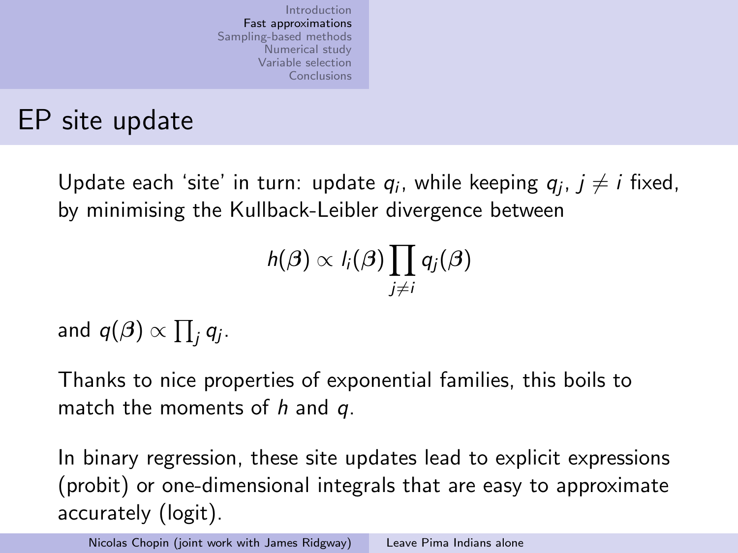### EP site update

Update each 'site' in turn: update  $q_i$ , while keeping  $q_j$ ,  $j\neq i$  fixed, by minimising the Kullback-Leibler divergence between

$$
h(\boldsymbol{\beta}) \propto l_i(\boldsymbol{\beta}) \prod_{j \neq i} q_j(\boldsymbol{\beta})
$$

and  $q(\beta) \propto \prod_j q_j$ .

Thanks to nice properties of exponential families, this boils to match the moments of  $h$  and  $q$ .

In binary regression, these site updates lead to explicit expressions (probit) or one-dimensional integrals that are easy to approximate accurately (logit).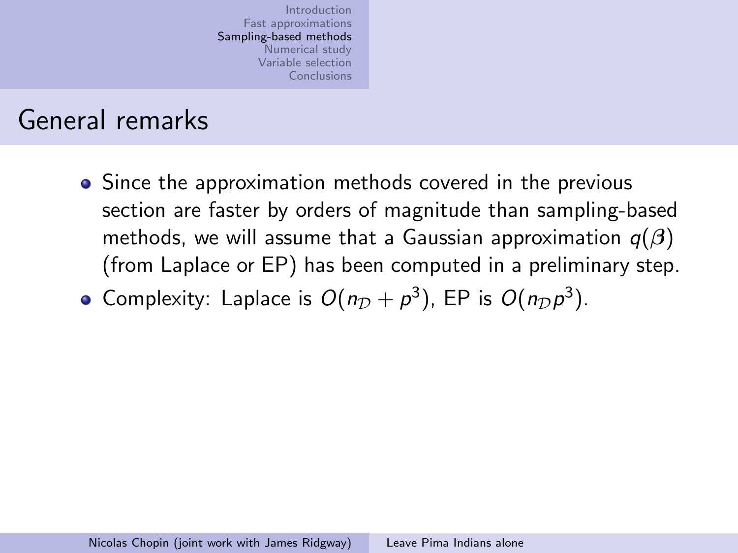### General remarks

• Since the approximation methods covered in the previous section are faster by orders of magnitude than sampling-based methods, we will assume that a Gaussian approximation  $q(\beta)$ (from Laplace or EP) has been computed in a preliminary step.

<span id="page-15-0"></span>Complexity: Laplace is  $O(n_D + p^3)$ , EP is  $O(n_D p^3)$ .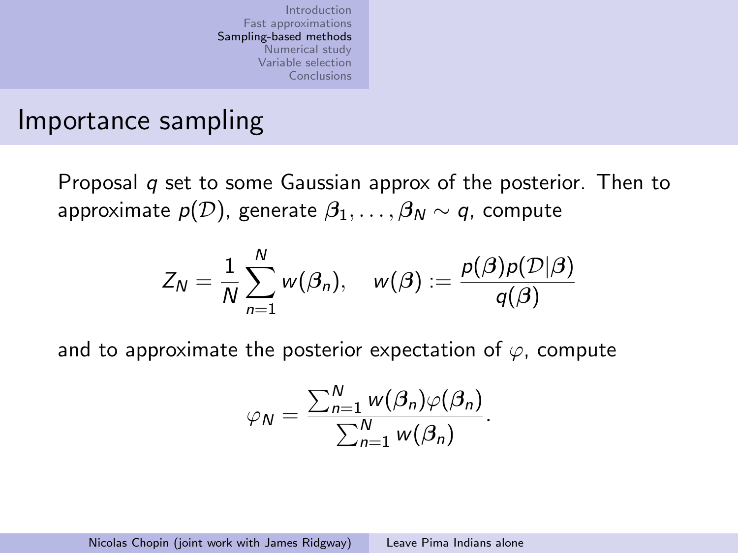#### Importance sampling

Proposal  $q$  set to some Gaussian approx of the posterior. Then to approximate  $p(\mathcal{D})$ , generate  $\beta_1, \ldots, \beta_N \sim q$ , compute

$$
Z_N = \frac{1}{N} \sum_{n=1}^N w(\beta_n), \quad w(\beta) := \frac{p(\beta)p(\mathcal{D}|\beta)}{q(\beta)}
$$

and to approximate the posterior expectation of  $\varphi$ , compute

$$
\varphi_N = \frac{\sum_{n=1}^N w(\beta_n)\varphi(\beta_n)}{\sum_{n=1}^N w(\beta_n)}.
$$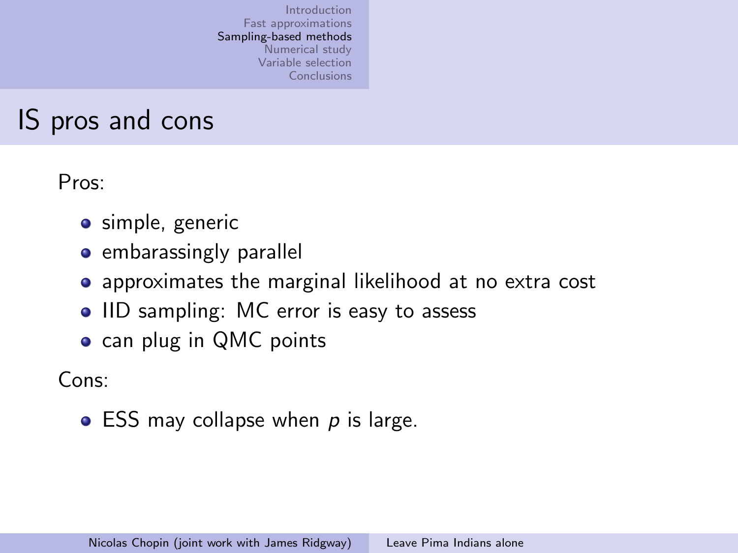### IS pros and cons

Pros:

- **•** simple, generic
- embarassingly parallel
- approximates the marginal likelihood at no extra cost
- IID sampling: MC error is easy to assess
- can plug in QMC points

Cons:

 $\bullet$  ESS may collapse when p is large.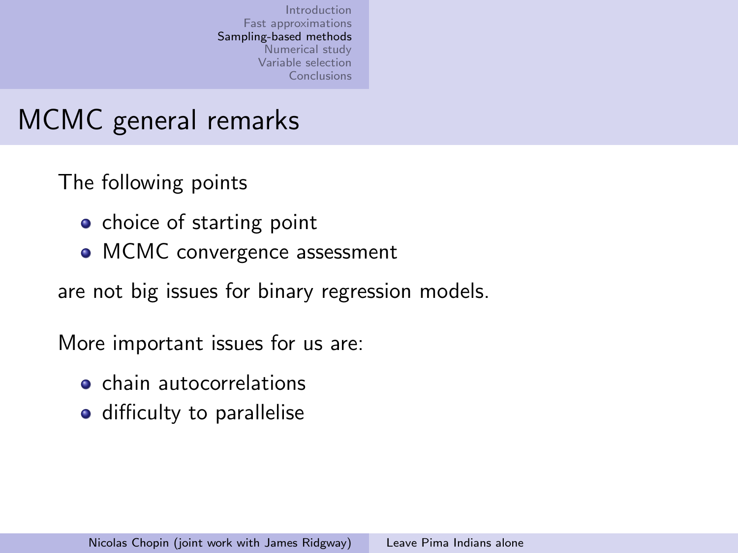# MCMC general remarks

The following points

- choice of starting point
- MCMC convergence assessment

are not big issues for binary regression models.

More important issues for us are:

- **o** chain autocorrelations
- difficulty to parallelise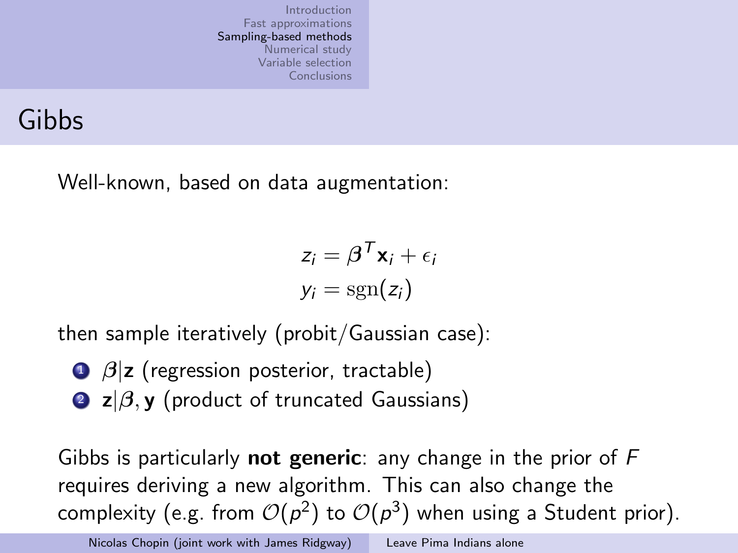### Gibbs

Well-known, based on data augmentation:

$$
z_i = \boldsymbol{\beta}^T \mathbf{x}_i + \epsilon_i
$$

$$
y_i = \text{sgn}(z_i)
$$

then sample iteratively (probit/Gaussian case):

- $\theta$   $\beta$ |z (regression posterior, tractable)
- 2  $z/\beta$ , y (product of truncated Gaussians)

Gibbs is particularly **not generic**: any change in the prior of  $F$ requires deriving a new algorithm. This can also change the complexity (e.g. from  $\mathcal{O}(p^2)$  to  $\mathcal{O}(p^3)$  when using a Student prior).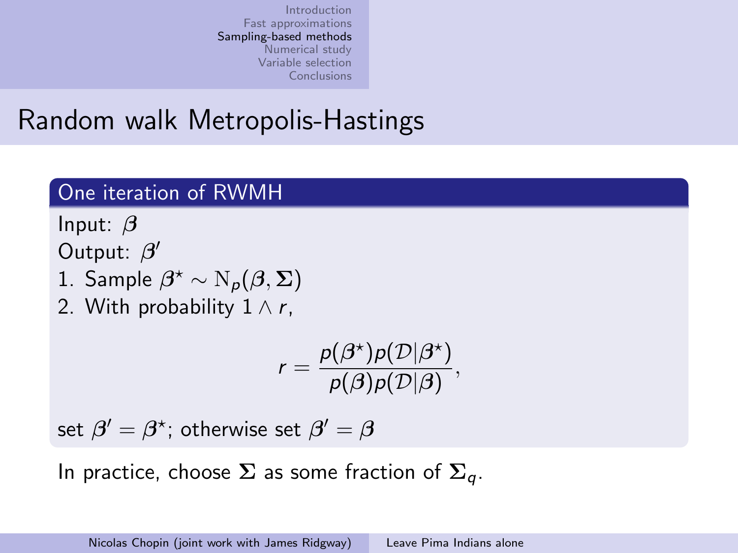### Random walk Metropolis-Hastings

#### One iteration of RWMH

Input:  $\beta$ 

Output:  $\beta'$ 

- 1. Sample  $\beta^* \sim N_\rho(\beta, \Sigma)$
- 2. With probability  $1 \wedge r$ .

$$
r = \frac{p(\beta^{\star})p(\mathcal{D}|\beta^{\star})}{p(\beta)p(\mathcal{D}|\beta)},
$$

set  $\beta'=\beta^\star$ ; otherwise set  $\beta'=\beta$ 

In practice, choose  $\Sigma$  as some fraction of  $\Sigma_a$ .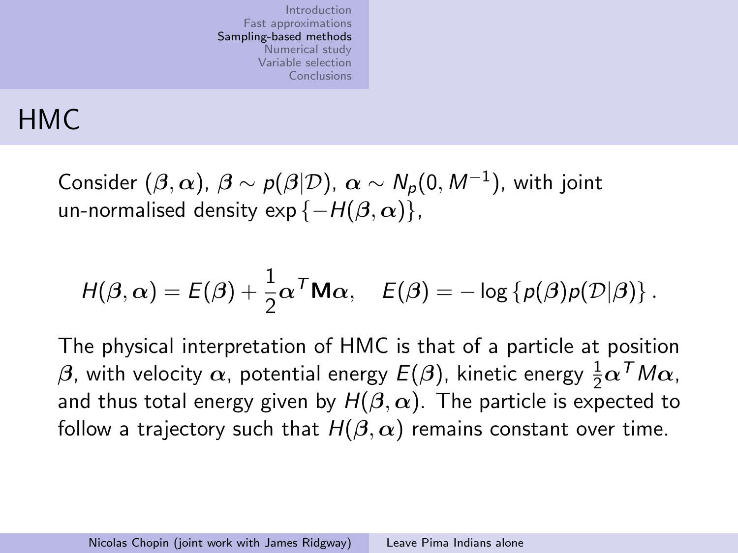## HMC

Consider  $(\beta,\alpha)$ ,  $\beta\sim\rho(\beta|\mathcal{D})$ ,  $\alpha\sim \mathcal{N}_\rho(0,\mathcal{M}^{-1})$ , with joint un-normalised density exp { $-H(\beta, \alpha)$ },

$$
H(\boldsymbol{\beta},\boldsymbol{\alpha})=E(\boldsymbol{\beta})+\frac{1}{2}\boldsymbol{\alpha}^T\mathbf{M}\boldsymbol{\alpha},\quad E(\boldsymbol{\beta})=-\log\left\{p(\boldsymbol{\beta})p(\mathcal{D}|\boldsymbol{\beta})\right\}.
$$

The physical interpretation of HMC is that of a particle at position  $\beta$ , with velocity  $\alpha$ , potential energy  $E(\beta)$ , kinetic energy  $\frac{1}{2}\alpha^\mathcal{T} M \alpha$ , and thus total energy given by  $H(\beta,\alpha)$ . The particle is expected to follow a trajectory such that  $H(\beta,\alpha)$  remains constant over time.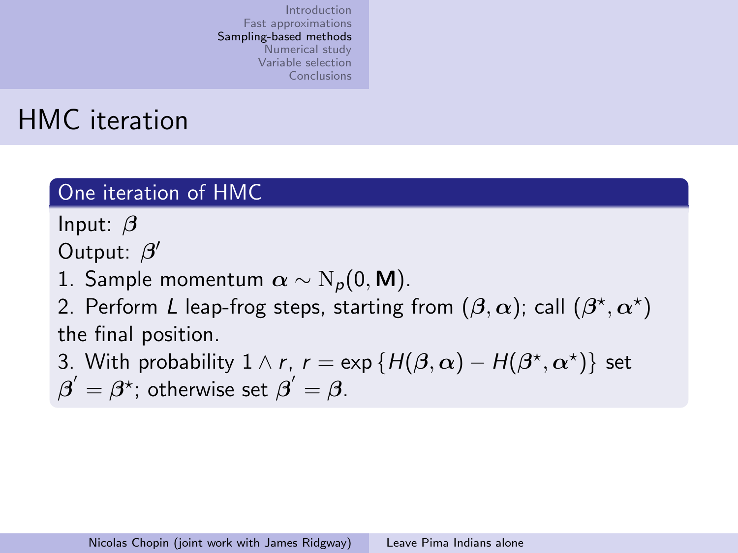### HMC iteration

#### One iteration of HMC

Input:  $\beta$ 

Output:  $\beta'$ 

1. Sample momentum  $\alpha \sim N_p(0, M)$ .

2. Perform  $L$  leap-frog steps, starting from  $(\boldsymbol{\beta},\boldsymbol{\alpha})$ ; call  $(\boldsymbol{\beta}^\star,\boldsymbol{\alpha}^\star)$ the final position.

3. With probability  $1 \wedge r$ ,  $r = \exp \{H(\beta, \alpha) - H(\beta^{\star}, \alpha^{\star})\}$  set  $\boldsymbol{\beta}'=\boldsymbol{\beta}^\star$ ; otherwise set  $\boldsymbol{\beta}'=\boldsymbol{\beta}.$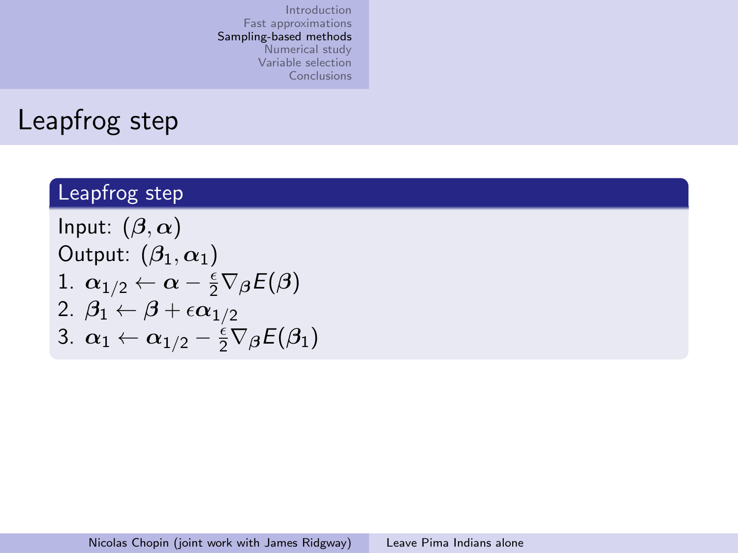### Leapfrog step

#### Leapfrog step

Input:  $(\beta, \alpha)$ Output:  $(\beta_1, \alpha_1)$ 1.  $\alpha_{1/2} \leftarrow \alpha - \frac{\epsilon}{2} \nabla_{\boldsymbol{\beta}} E(\boldsymbol{\beta})$ 2.  $\beta_1 \leftarrow \beta + \epsilon \alpha_{1/2}$ 3.  $\alpha_1 \leftarrow \alpha_{1/2} - \frac{1}{2} \nabla_{\beta} E(\beta_1)$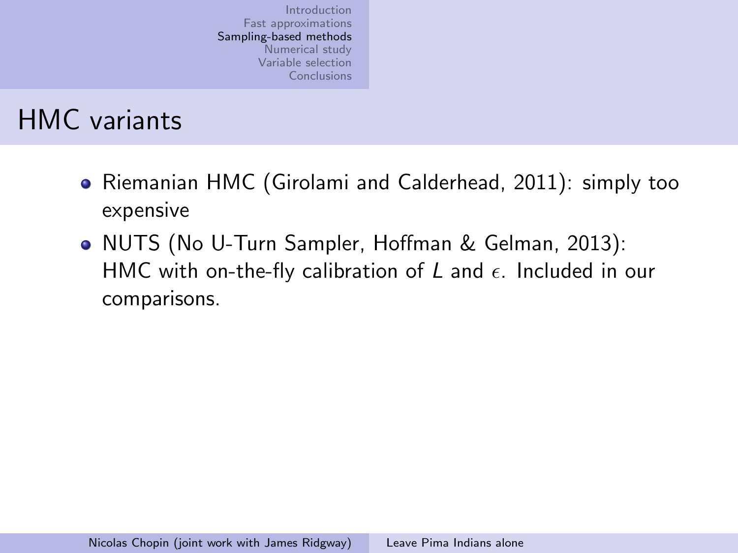### HMC variants

- Riemanian HMC (Girolami and Calderhead, 2011): simply too expensive
- NUTS (No U-Turn Sampler, Hoffman & Gelman, 2013): HMC with on-the-fly calibration of L and  $\epsilon$ . Included in our comparisons.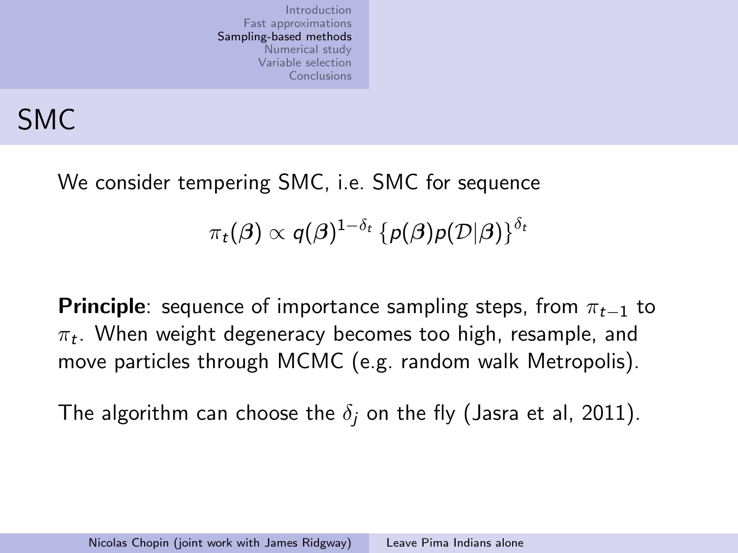# SMC

We consider tempering SMC, i.e. SMC for sequence

 $\pi_t(\boldsymbol{\beta}) \propto q(\boldsymbol{\beta})^{1-\delta_t}\left\{\rho(\boldsymbol{\beta})\rho(\mathcal{D}|\boldsymbol{\beta})\right\}^{\delta_t}$ 

**Principle**: sequence of importance sampling steps, from  $\pi_{t-1}$  to  $\pi_t.$  When weight degeneracy becomes too high, resample, and move particles through MCMC (e.g. random walk Metropolis).

The algorithm can choose the  $\delta_i$  on the fly (Jasra et al, 2011).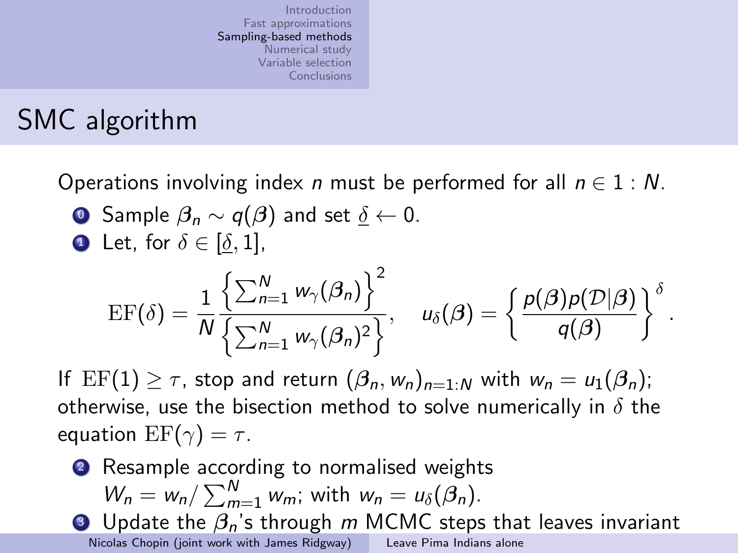# SMC algorithm

Operations involving index *n* must be performed for all  $n \in 1 : N$ .

**O** Sample  $\beta_n \sim q(\beta)$  and set  $\delta \leftarrow 0$ . **1** Let, for  $\delta \in [\delta, 1]$ ,

$$
\mathrm{EF}(\delta)=\frac{1}{N}\frac{\left\{\sum_{n=1}^N w_\gamma(\beta_n)\right\}^2}{\left\{\sum_{n=1}^N w_\gamma(\beta_n)^2\right\}},\quad u_\delta(\beta)=\left\{\frac{p(\beta)p(\mathcal{D}|\beta)}{q(\beta)}\right\}^\delta.
$$

If  $EF(1) \geq \tau$ , stop and return  $(\beta_n, w_n)_{n=1:N}$  with  $w_n = u_1(\beta_n)$ ; otherwise, use the bisection method to solve numerically in  $\delta$  the equation  $EF(\gamma) = \tau$ .

**2** Resample according to normalised weights  $W_n = w_n / \sum_{m=1}^{N} w_m$ ; with  $w_n = u_\delta(\beta_n)$ . **3** Update the  $\beta_n$ 's through m MCMC steps that leaves invariant

Nicolas Chopin (joint work with James Ridgway) [Leave Pima Indians alone](#page-0-0)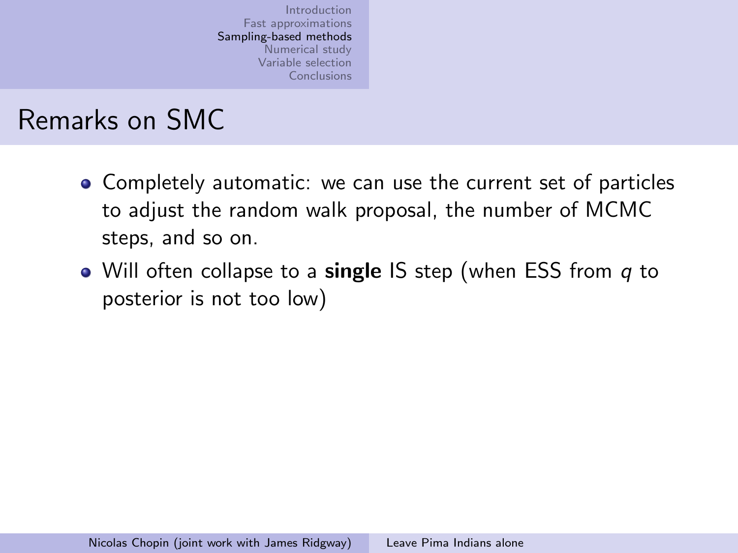## Remarks on SMC

- Completely automatic: we can use the current set of particles to adjust the random walk proposal, the number of MCMC steps, and so on.
- Will often collapse to a single IS step (when ESS from q to posterior is not too low)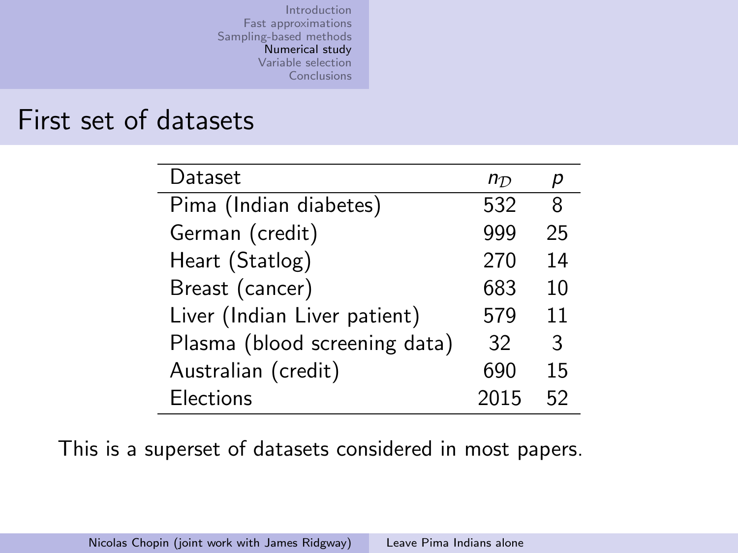#### First set of datasets

| Dataset                       | $n_{\mathcal{D}}$ |    |
|-------------------------------|-------------------|----|
| Pima (Indian diabetes)        | 532               | 8  |
| German (credit)               | 999               | 25 |
| Heart (Statlog)               | 270               | 14 |
| Breast (cancer)               | 683               | 10 |
| Liver (Indian Liver patient)  | 579               | 11 |
| Plasma (blood screening data) | 32                | 3  |
| Australian (credit)           | 690               | 15 |
| <b>Elections</b>              | 2015              | 52 |

<span id="page-28-0"></span>This is a superset of datasets considered in most papers.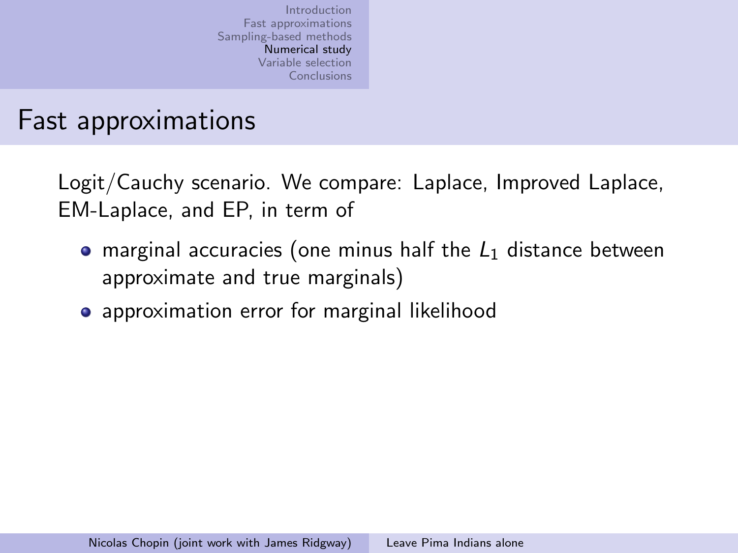### Fast approximations

Logit/Cauchy scenario. We compare: Laplace, Improved Laplace, EM-Laplace, and EP, in term of

- marginal accuracies (one minus half the  $L_1$  distance between approximate and true marginals)
- **•** approximation error for marginal likelihood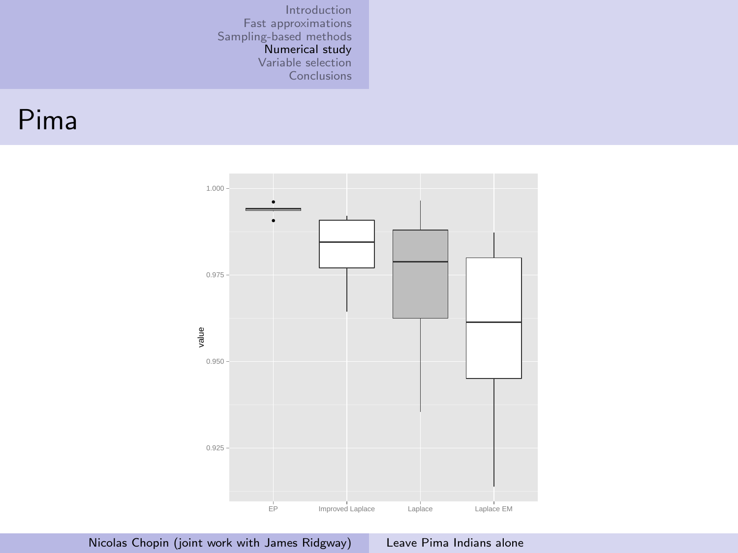#### Pima

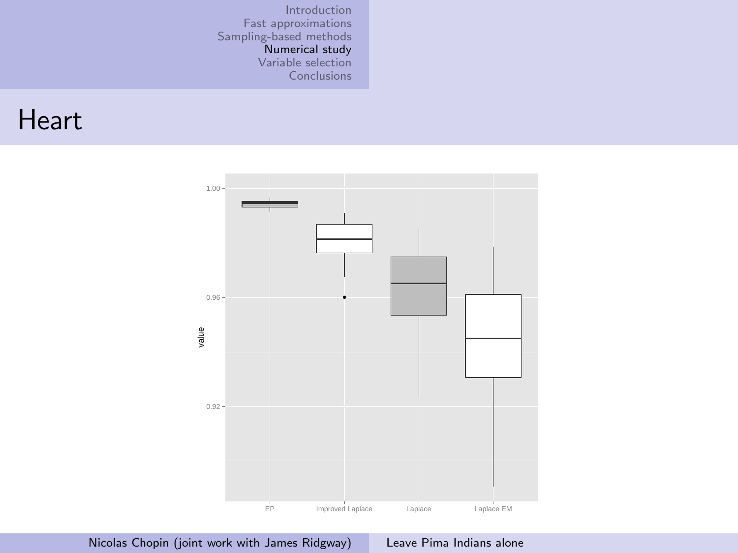#### **Heart**

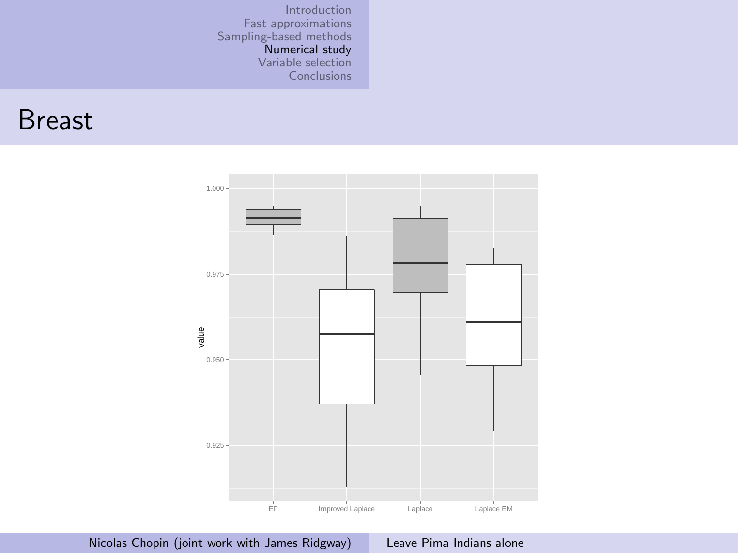#### Breast

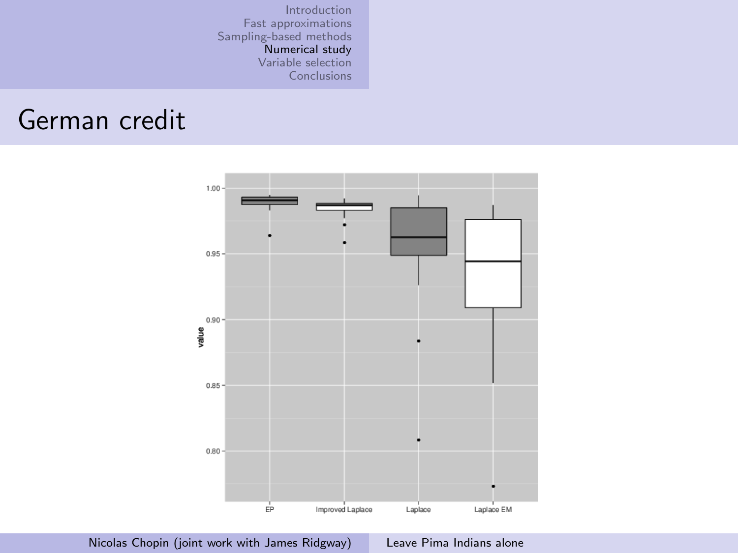### German credit

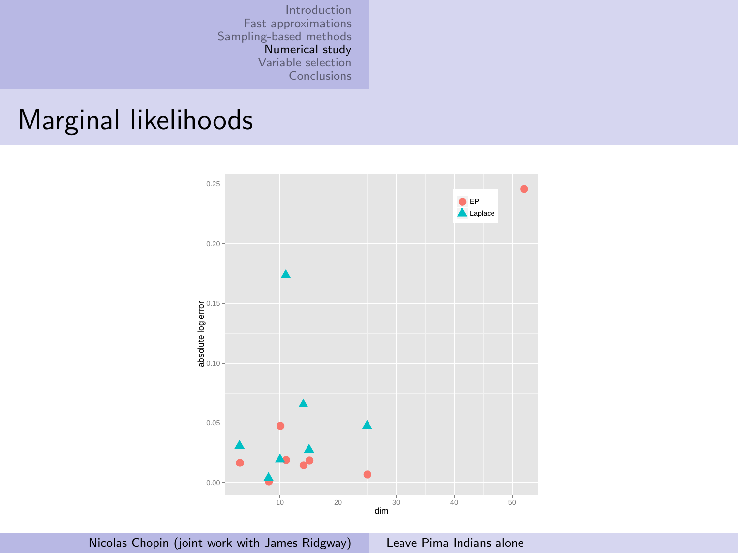### Marginal likelihoods

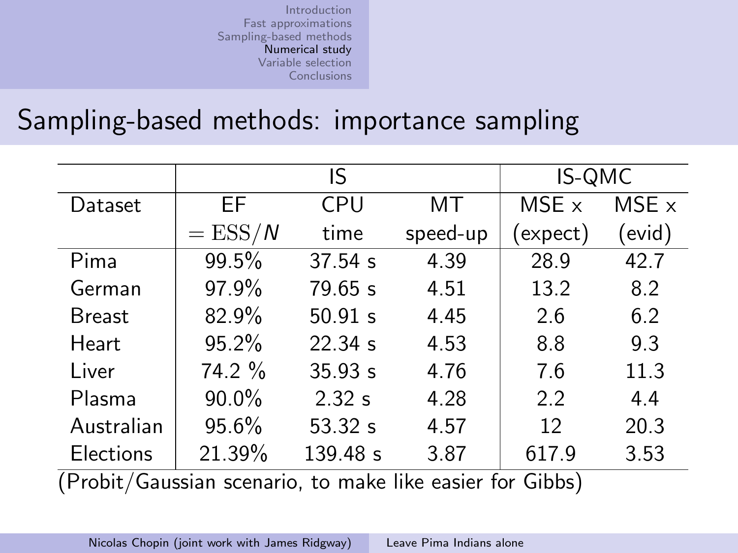### Sampling-based methods: importance sampling

|                  | IS           |          |          | IS-QMC            |       |
|------------------|--------------|----------|----------|-------------------|-------|
| Dataset          | ЕF           | CPU      | МT       | MSE x             | MSE x |
|                  | $=$ ESS/ $N$ | time     | speed-up | $(\text{expect})$ | evid) |
| Pima             | 99.5%        | 37.54 s  | 4.39     | 28.9              | 42.7  |
| German           | 97.9%        | 79.65 s  | 4.51     | 13.2              | 8.2   |
| Breast           | 82.9%        | 50.91 s  | 4.45     | 2.6               | 6.2   |
| Heart            | 95.2%        | 22.34 s  | 4.53     | 8.8               | 9.3   |
| Liver            | 74.2 %       | 35.93 s  | 4.76     | 7.6               | 11.3  |
| Plasma           | 90.0%        | 2.32 s   | 4.28     | 2.2               | 4.4   |
| Australian       | 95.6%        | 53.32 s  | 4.57     | 12                | 20.3  |
| <b>Elections</b> | 21.39%       | 139.48 s | 3.87     | 617.9             | 3.53  |
| $(n + 1)(n + 1)$ |              |          |          |                   |       |

(Probit/Gaussian scenario, to make like easier for Gibbs)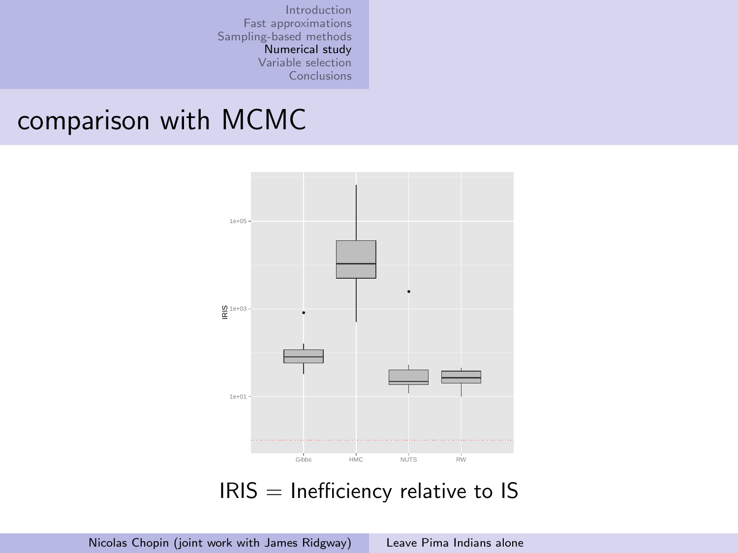#### comparison with MCMC



 $IRIS = Inefficient$  relative to IS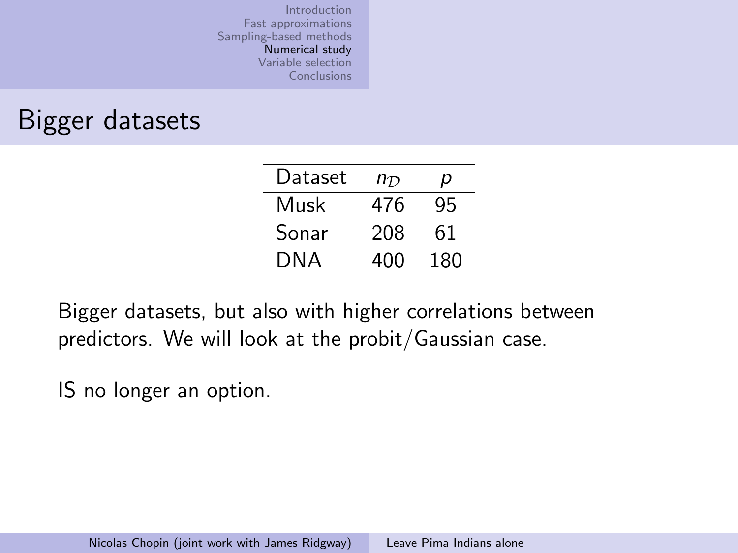### Bigger datasets

| Dataset | $n_{\mathcal{D}}$ | p   |  |
|---------|-------------------|-----|--|
| Musk    | 476               | 95  |  |
| Sonar   | 208               | 61  |  |
| DNA     | 400               | 180 |  |

Bigger datasets, but also with higher correlations between predictors. We will look at the probit/Gaussian case.

IS no longer an option.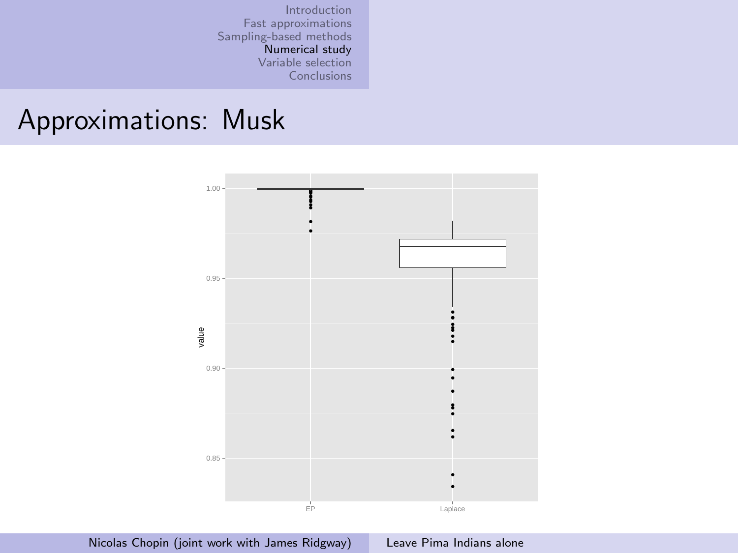### Approximations: Musk

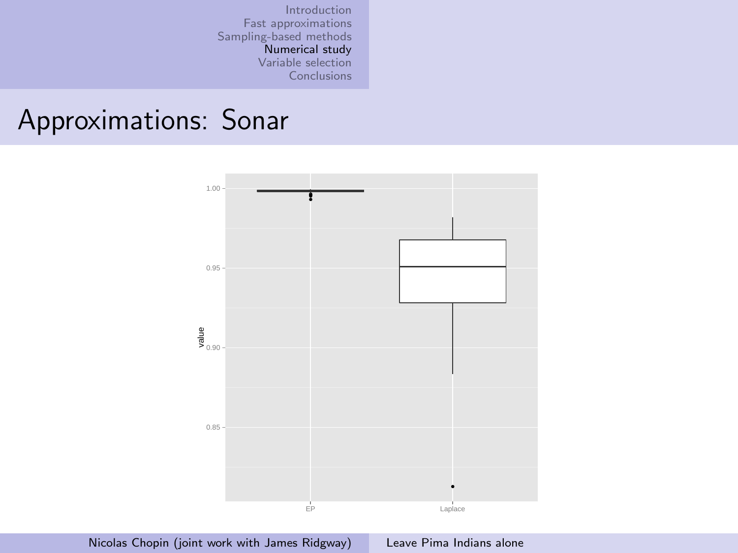#### Approximations: Sonar

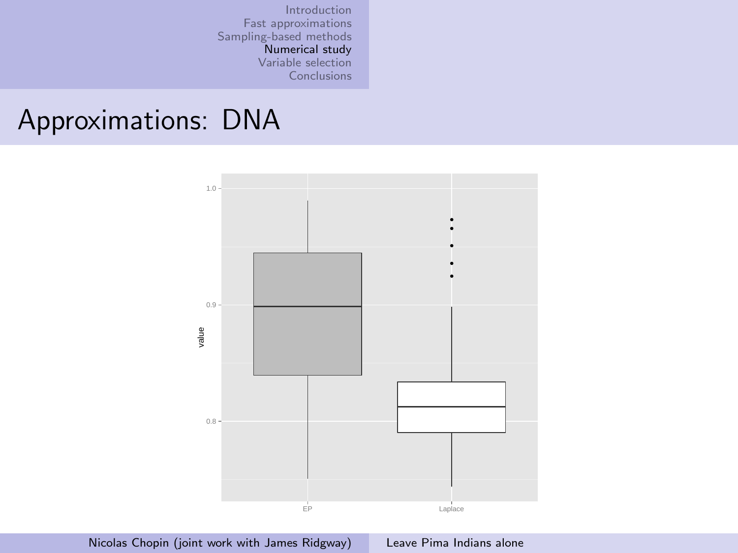### Approximations: DNA

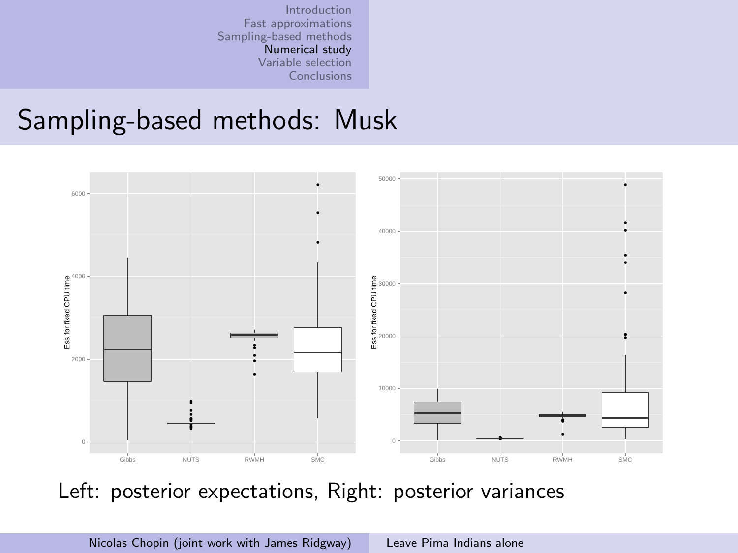#### Sampling-based methods: Musk



Left: posterior expectations, Right: posterior variances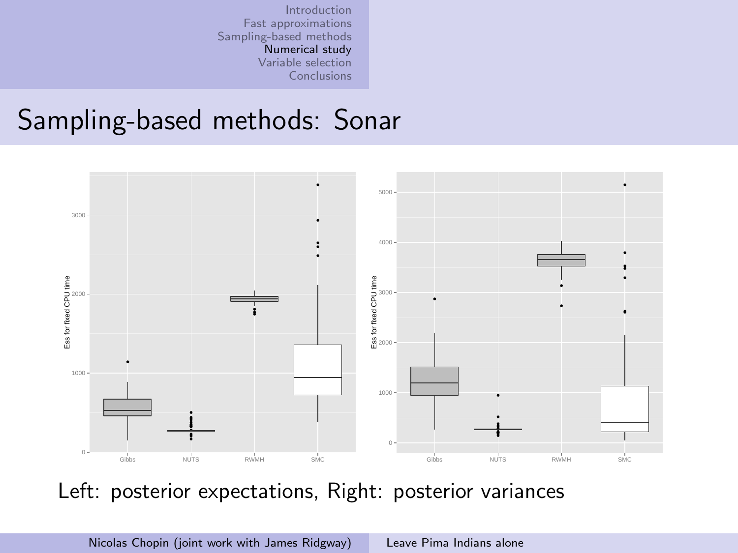#### Sampling-based methods: Sonar



Left: posterior expectations, Right: posterior variances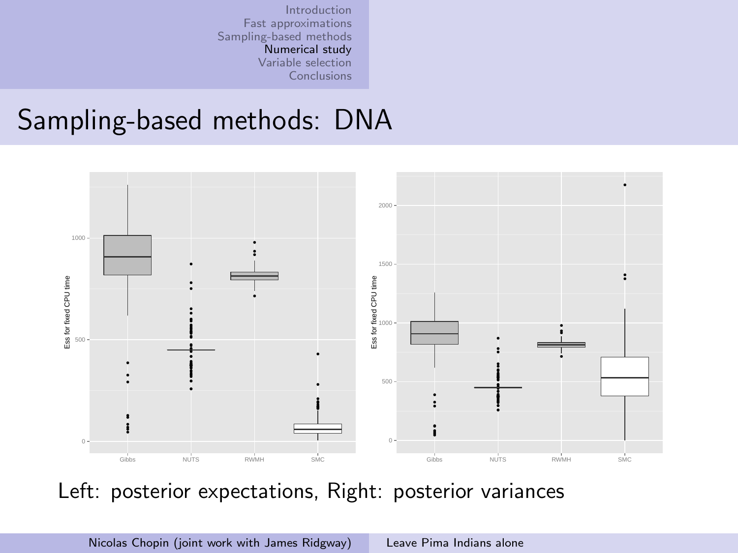#### Sampling-based methods: DNA



Left: posterior expectations, Right: posterior variances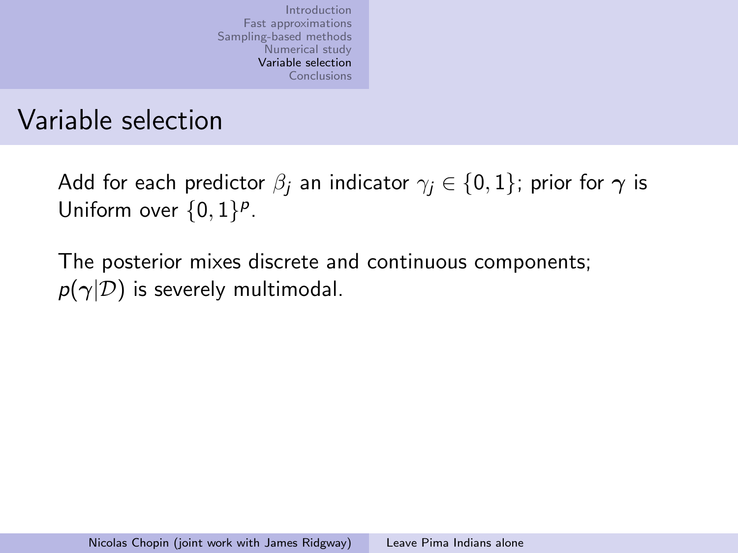### Variable selection

Add for each predictor  $\beta_i$  an indicator  $\gamma_i \in \{0, 1\}$ ; prior for  $\gamma$  is Uniform over  $\{0,1\}^p$ .

<span id="page-44-0"></span>The posterior mixes discrete and continuous components;  $p(\gamma|\mathcal{D})$  is severely multimodal.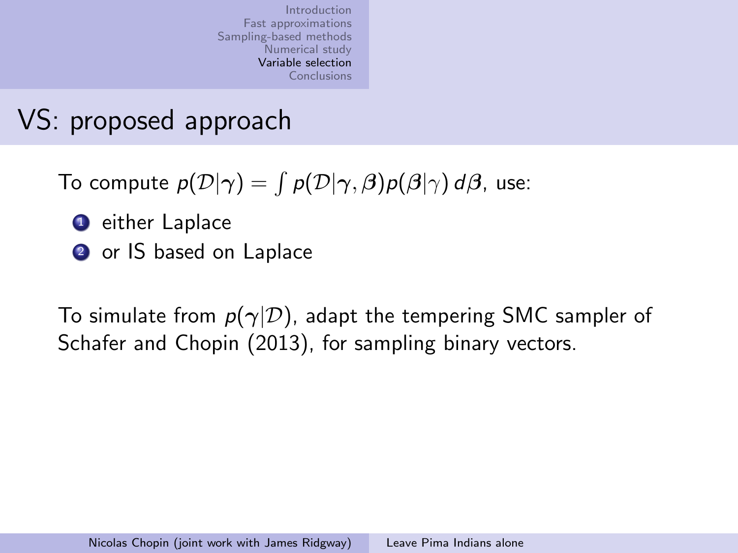# VS: proposed approach

To compute  $p(\mathcal{D}|\gamma)=\int p(\mathcal{D}|\gamma,\beta)p(\beta|\gamma) \,d\beta$ , use:

- **1** either Laplace
- **2** or IS based on Laplace

To simulate from  $p(\gamma|\mathcal{D})$ , adapt the tempering SMC sampler of Schafer and Chopin (2013), for sampling binary vectors.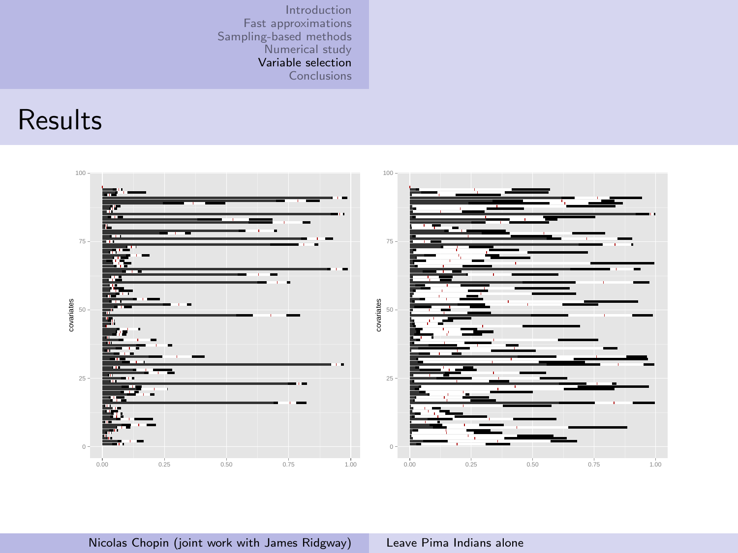#### Results

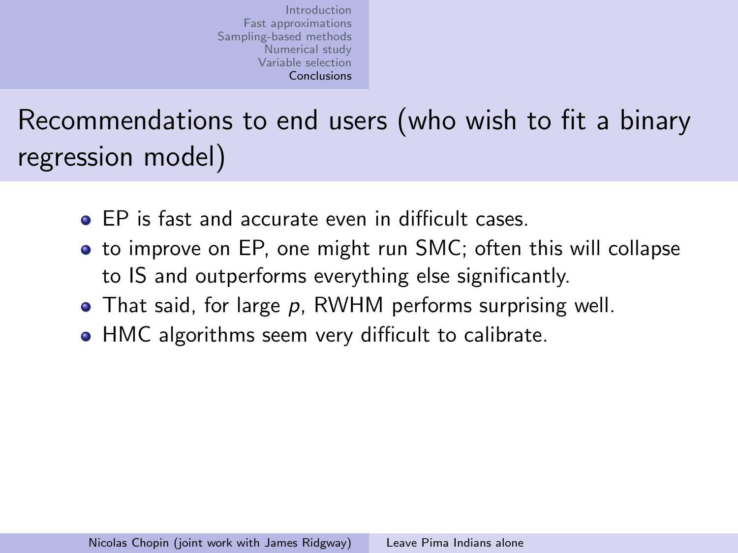Recommendations to end users (who wish to fit a binary regression model)

- **EP** is fast and accurate even in difficult cases
- to improve on EP, one might run SMC; often this will collapse to IS and outperforms everything else significantly.
- $\bullet$  That said, for large p, RWHM performs surprising well.
- <span id="page-47-0"></span>• HMC algorithms seem very difficult to calibrate.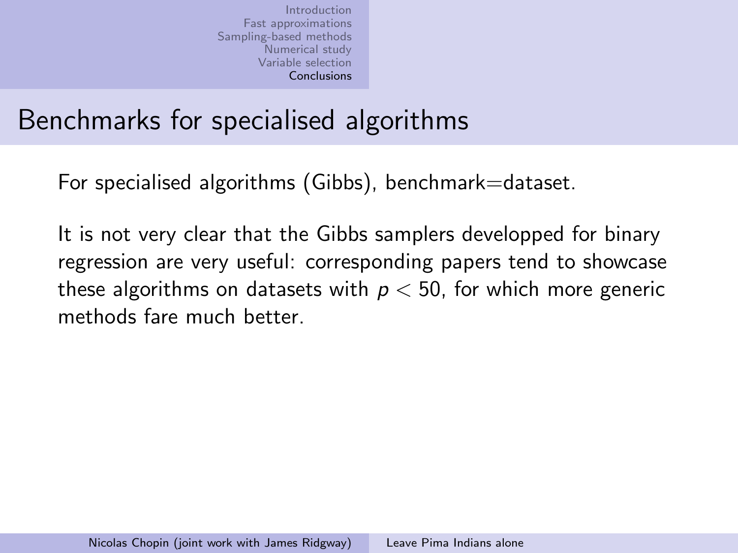# Benchmarks for specialised algorithms

For specialised algorithms (Gibbs), benchmark=dataset.

It is not very clear that the Gibbs samplers developped for binary regression are very useful: corresponding papers tend to showcase these algorithms on datasets with  $p < 50$ , for which more generic methods fare much better.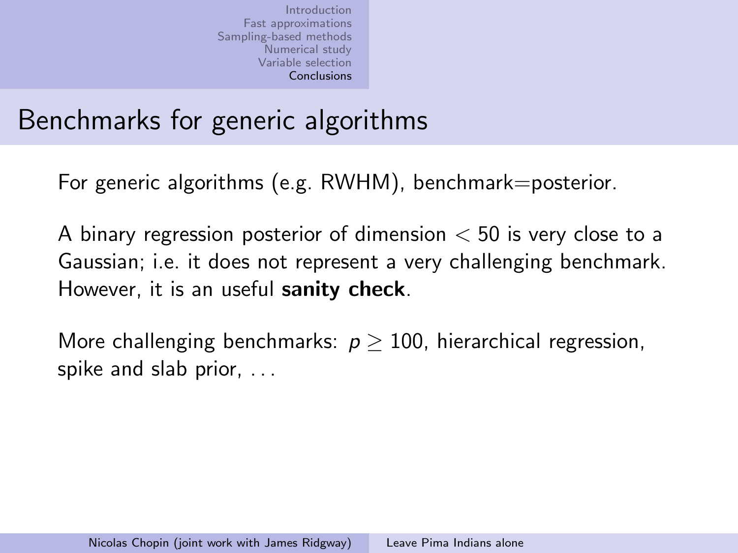## Benchmarks for generic algorithms

For generic algorithms (e.g. RWHM), benchmark=posterior.

A binary regression posterior of dimension  $<$  50 is very close to a Gaussian; i.e. it does not represent a very challenging benchmark. However, it is an useful sanity check.

More challenging benchmarks:  $p \geq 100$ , hierarchical regression, spike and slab prior, . . .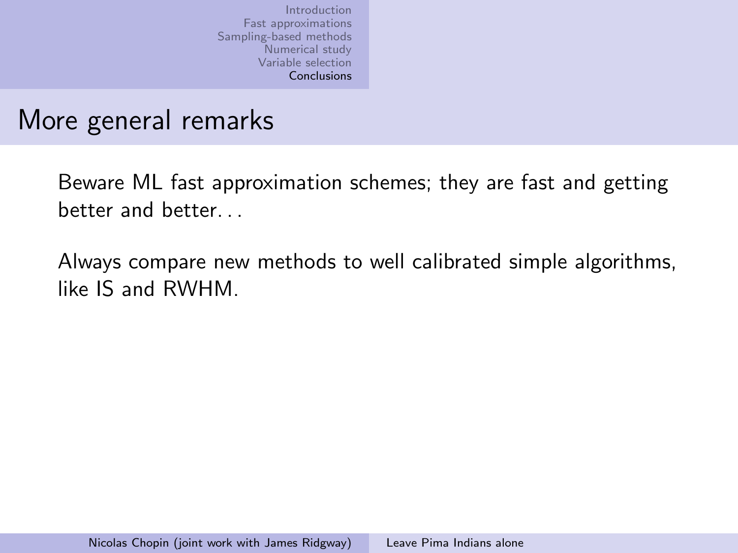### More general remarks

Beware ML fast approximation schemes; they are fast and getting better and better

Always compare new methods to well calibrated simple algorithms, like IS and RWHM.